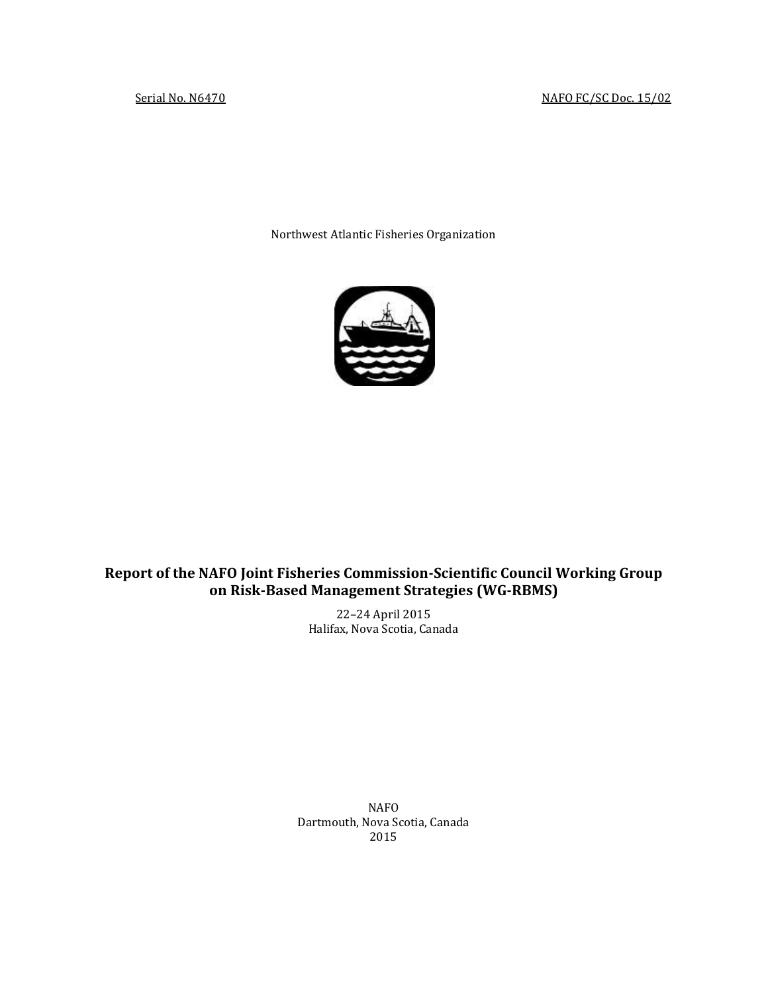Northwest Atlantic Fisheries Organization



## **Report of the NAFO Joint Fisheries Commission-Scientific Council Working Group on Risk-Based Management Strategies (WG-RBMS)**

22–24 April 2015 Halifax, Nova Scotia, Canada

NAFO Dartmouth, Nova Scotia, Canada 2015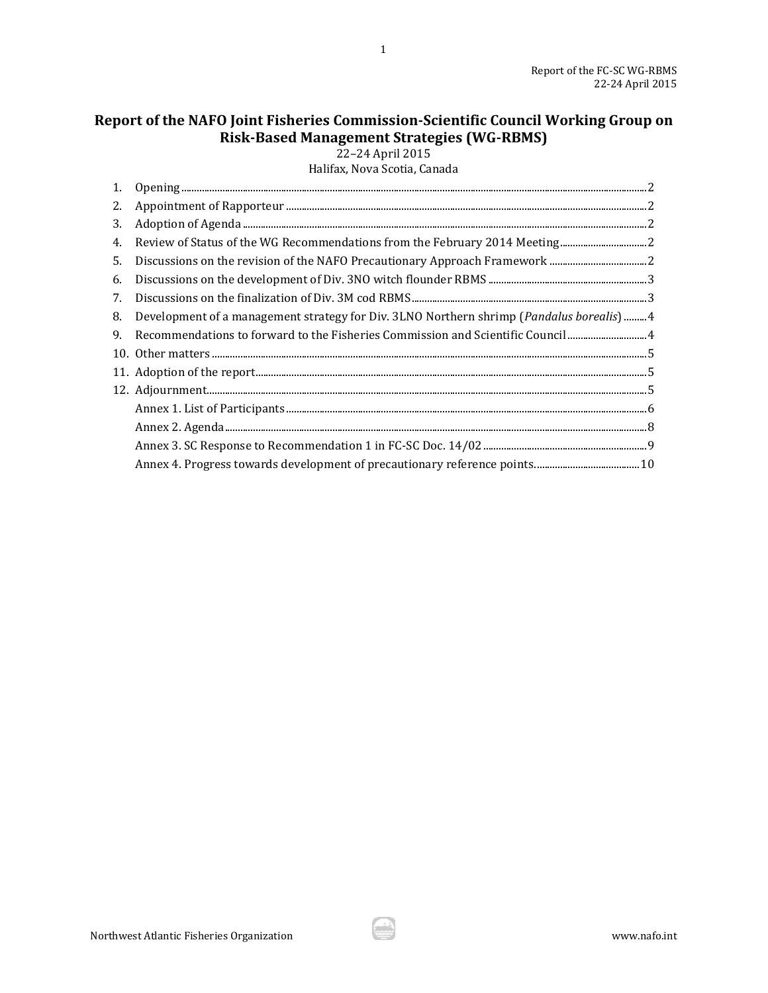# **Report of the NAFO Joint Fisheries Commission-Scientific Council Working Group on Risk-Based Management Strategies (WG-RBMS)**

1

22–24 April 2015

Halifax, Nova Scotia, Canada

| 3. |                                                                                                                                                                                                                                                                                                                                                                                                                                                      |
|----|------------------------------------------------------------------------------------------------------------------------------------------------------------------------------------------------------------------------------------------------------------------------------------------------------------------------------------------------------------------------------------------------------------------------------------------------------|
| 4. |                                                                                                                                                                                                                                                                                                                                                                                                                                                      |
| 5. |                                                                                                                                                                                                                                                                                                                                                                                                                                                      |
| 6. | $\label{thm:3} \text{Discussions on the development of Div. 3NO with founder RBMS.} \textit{m} \textit{m} \textit{m} \textit{m} \textit{m} \textit{m} \textit{m} \textit{m} \textit{m} \textit{m} \textit{m} \textit{m} \textit{m} \textit{m} \textit{m} \textit{m} \textit{m} \textit{m} \textit{m} \textit{m} \textit{m} \textit{m} \textit{m} \textit{m} \textit{m} \textit{m} \textit{m} \textit{m} \textit{m} \textit{m} \textit{m} \textit{m}$ |
| 7. |                                                                                                                                                                                                                                                                                                                                                                                                                                                      |
| 8. | Development of a management strategy for Div. 3LNO Northern shrimp ( <i>Pandalus borealis</i> ) 4                                                                                                                                                                                                                                                                                                                                                    |
| 9. |                                                                                                                                                                                                                                                                                                                                                                                                                                                      |
|    |                                                                                                                                                                                                                                                                                                                                                                                                                                                      |
|    |                                                                                                                                                                                                                                                                                                                                                                                                                                                      |
|    |                                                                                                                                                                                                                                                                                                                                                                                                                                                      |
|    |                                                                                                                                                                                                                                                                                                                                                                                                                                                      |
|    |                                                                                                                                                                                                                                                                                                                                                                                                                                                      |
|    |                                                                                                                                                                                                                                                                                                                                                                                                                                                      |
|    |                                                                                                                                                                                                                                                                                                                                                                                                                                                      |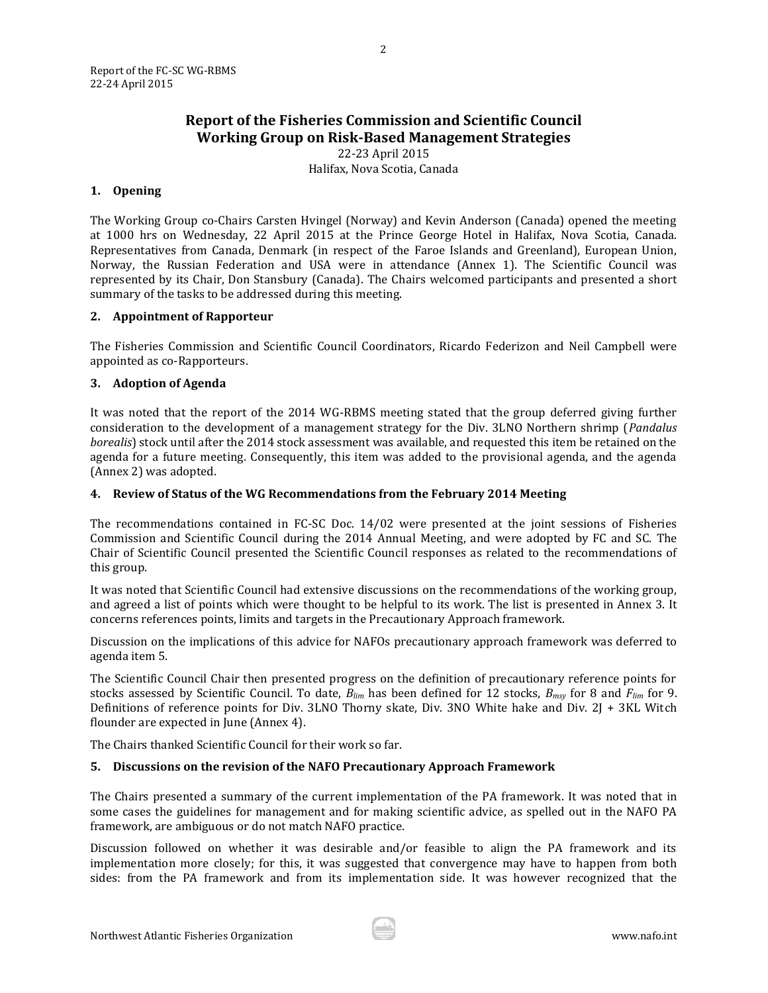## **Report of the Fisheries Commission and Scientific Council Working Group on Risk-Based Management Strategies**

22-23 April 2015 Halifax, Nova Scotia, Canada

#### <span id="page-2-0"></span>**1. Opening**

The Working Group co-Chairs Carsten Hvingel (Norway) and Kevin Anderson (Canada) opened the meeting at 1000 hrs on Wednesday, 22 April 2015 at the Prince George Hotel in Halifax, Nova Scotia, Canada. Representatives from Canada, Denmark (in respect of the Faroe Islands and Greenland), European Union, Norway, the Russian Federation and USA were in attendance (Annex 1). The Scientific Council was represented by its Chair, Don Stansbury (Canada). The Chairs welcomed participants and presented a short summary of the tasks to be addressed during this meeting.

## <span id="page-2-1"></span>**2. Appointment of Rapporteur**

The Fisheries Commission and Scientific Council Coordinators, Ricardo Federizon and Neil Campbell were appointed as co-Rapporteurs.

## <span id="page-2-2"></span>**3. Adoption of Agenda**

It was noted that the report of the 2014 WG-RBMS meeting stated that the group deferred giving further consideration to the development of a management strategy for the Div. 3LNO Northern shrimp (*Pandalus borealis*) stock until after the 2014 stock assessment was available, and requested this item be retained on the agenda for a future meeting. Consequently, this item was added to the provisional agenda, and the agenda (Annex 2) was adopted.

### <span id="page-2-3"></span>**4. Review of Status of the WG Recommendations from the February 2014 Meeting**

The recommendations contained in FC-SC Doc. 14/02 were presented at the joint sessions of Fisheries Commission and Scientific Council during the 2014 Annual Meeting, and were adopted by FC and SC. The Chair of Scientific Council presented the Scientific Council responses as related to the recommendations of this group.

It was noted that Scientific Council had extensive discussions on the recommendations of the working group, and agreed a list of points which were thought to be helpful to its work. The list is presented in Annex 3. It concerns references points, limits and targets in the Precautionary Approach framework.

Discussion on the implications of this advice for NAFOs precautionary approach framework was deferred to agenda item 5.

The Scientific Council Chair then presented progress on the definition of precautionary reference points for stocks assessed by Scientific Council. To date, *Blim* has been defined for 12 stocks, *Bmsy* for 8 and *Flim* for 9. Definitions of reference points for Div. 3LNO Thorny skate, Div. 3NO White hake and Div. 2J + 3KL Witch flounder are expected in June (Annex 4).

The Chairs thanked Scientific Council for their work so far.

#### <span id="page-2-4"></span>**5. Discussions on the revision of the NAFO Precautionary Approach Framework**

The Chairs presented a summary of the current implementation of the PA framework. It was noted that in some cases the guidelines for management and for making scientific advice, as spelled out in the NAFO PA framework, are ambiguous or do not match NAFO practice.

Discussion followed on whether it was desirable and/or feasible to align the PA framework and its implementation more closely; for this, it was suggested that convergence may have to happen from both sides: from the PA framework and from its implementation side. It was however recognized that the

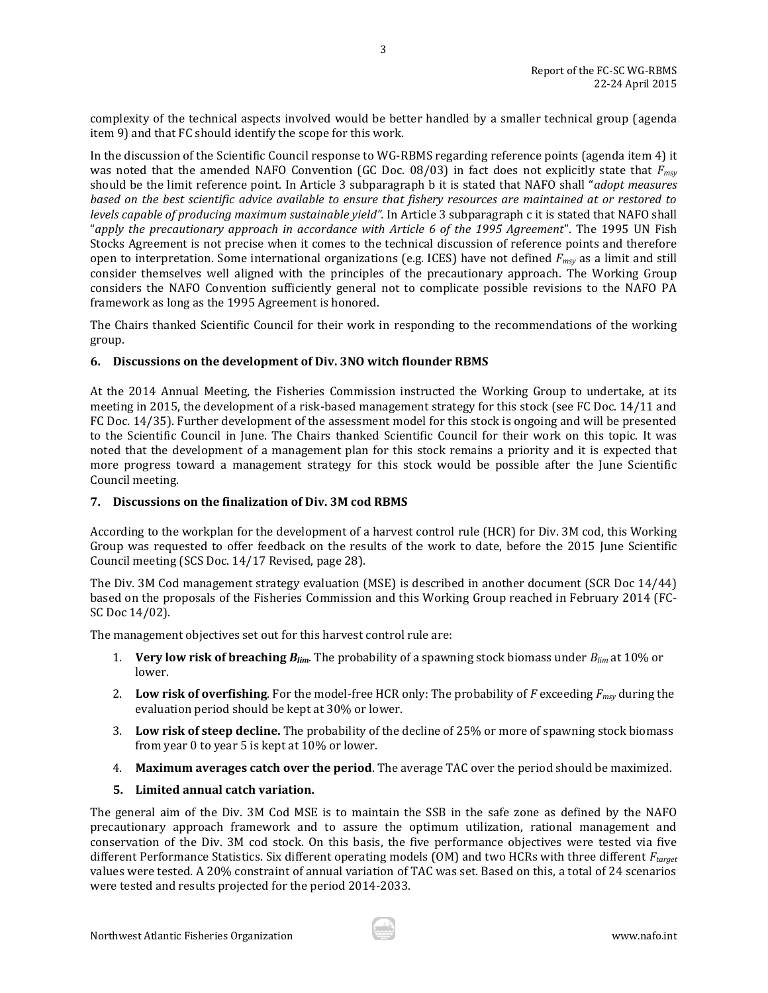complexity of the technical aspects involved would be better handled by a smaller technical group (agenda item 9) and that FC should identify the scope for this work.

3

In the discussion of the Scientific Council response to WG-RBMS regarding reference points (agenda item 4) it was noted that the amended NAFO Convention (GC Doc. 08/03) in fact does not explicitly state that *Fmsy* should be the limit reference point. In Article 3 subparagraph b it is stated that NAFO shall "*adopt measures based on the best scientific advice available to ensure that fishery resources are maintained at or restored to levels capable of producing maximum sustainable yield".* In Article 3 subparagraph c it is stated that NAFO shall "*apply the precautionary approach in accordance with Article 6 of the 1995 Agreement*". The 1995 UN Fish Stocks Agreement is not precise when it comes to the technical discussion of reference points and therefore open to interpretation. Some international organizations (e.g. ICES) have not defined *Fmsy* as a limit and still consider themselves well aligned with the principles of the precautionary approach. The Working Group considers the NAFO Convention sufficiently general not to complicate possible revisions to the NAFO PA framework as long as the 1995 Agreement is honored.

The Chairs thanked Scientific Council for their work in responding to the recommendations of the working group.

#### <span id="page-3-0"></span>**6. Discussions on the development of Div. 3NO witch flounder RBMS**

At the 2014 Annual Meeting, the Fisheries Commission instructed the Working Group to undertake, at its meeting in 2015, the development of a risk-based management strategy for this stock (see FC Doc. 14/11 and FC Doc. 14/35). Further development of the assessment model for this stock is ongoing and will be presented to the Scientific Council in June. The Chairs thanked Scientific Council for their work on this topic. It was noted that the development of a management plan for this stock remains a priority and it is expected that more progress toward a management strategy for this stock would be possible after the June Scientific Council meeting.

#### <span id="page-3-1"></span>**7. Discussions on the finalization of Div. 3M cod RBMS**

According to the workplan for the development of a harvest control rule (HCR) for Div. 3M cod, this Working Group was requested to offer feedback on the results of the work to date, before the 2015 June Scientific Council meeting (SCS Doc. 14/17 Revised, page 28).

The Div. 3M Cod management strategy evaluation (MSE) is described in another document (SCR Doc 14/44) based on the proposals of the Fisheries Commission and this Working Group reached in February 2014 (FC-SC Doc 14/02).

The management objectives set out for this harvest control rule are:

- 1. **Very low risk of breaching** *Blim*. The probability of a spawning stock biomass under *Blim* at 10% or lower.
- 2. **Low risk of overfishing**. For the model-free HCR only: The probability of *F* exceeding *Fmsy* during the evaluation period should be kept at 30% or lower.
- 3. **Low risk of steep decline.** The probability of the decline of 25% or more of spawning stock biomass from year 0 to year 5 is kept at 10% or lower.
- 4. **Maximum averages catch over the period**. The average TAC over the period should be maximized.

## **5. Limited annual catch variation.**

The general aim of the Div. 3M Cod MSE is to maintain the SSB in the safe zone as defined by the NAFO precautionary approach framework and to assure the optimum utilization, rational management and conservation of the Div. 3M cod stock. On this basis, the five performance objectives were tested via five different Performance Statistics. Six different operating models (OM) and two HCRs with three different *Ftarget* values were tested. A 20% constraint of annual variation of TAC was set. Based on this, a total of 24 scenarios were tested and results projected for the period 2014-2033.

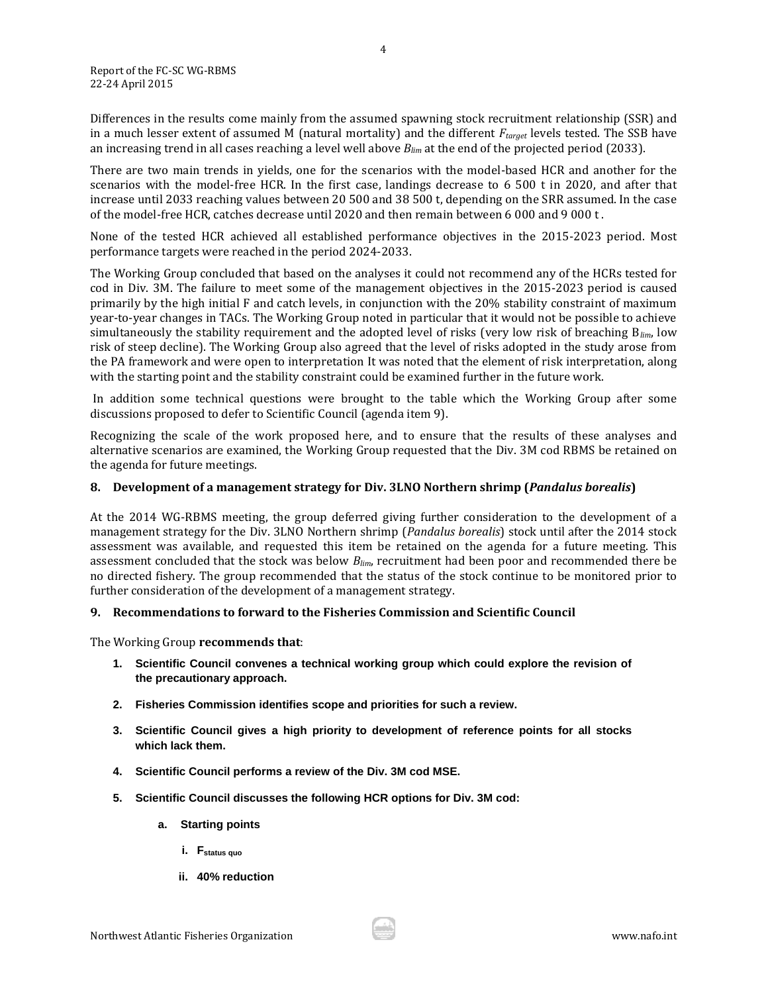Differences in the results come mainly from the assumed spawning stock recruitment relationship (SSR) and in a much lesser extent of assumed M (natural mortality) and the different *Ftarget* levels tested. The SSB have an increasing trend in all cases reaching a level well above *Blim* at the end of the projected period (2033).

There are two main trends in yields, one for the scenarios with the model-based HCR and another for the scenarios with the model-free HCR. In the first case, landings decrease to 6 500 t in 2020, and after that increase until 2033 reaching values between 20 500 and 38 500 t, depending on the SRR assumed. In the case of the model-free HCR, catches decrease until 2020 and then remain between 6 000 and 9 000 t .

None of the tested HCR achieved all established performance objectives in the 2015-2023 period. Most performance targets were reached in the period 2024-2033.

The Working Group concluded that based on the analyses it could not recommend any of the HCRs tested for cod in Div. 3M. The failure to meet some of the management objectives in the 2015-2023 period is caused primarily by the high initial F and catch levels, in conjunction with the 20% stability constraint of maximum year-to-year changes in TACs. The Working Group noted in particular that it would not be possible to achieve simultaneously the stability requirement and the adopted level of risks (very low risk of breaching B*lim*, low risk of steep decline). The Working Group also agreed that the level of risks adopted in the study arose from the PA framework and were open to interpretation It was noted that the element of risk interpretation, along with the starting point and the stability constraint could be examined further in the future work.

In addition some technical questions were brought to the table which the Working Group after some discussions proposed to defer to Scientific Council (agenda item 9).

Recognizing the scale of the work proposed here, and to ensure that the results of these analyses and alternative scenarios are examined, the Working Group requested that the Div. 3M cod RBMS be retained on the agenda for future meetings.

#### <span id="page-4-0"></span>**8. Development of a management strategy for Div. 3LNO Northern shrimp (***Pandalus borealis***)**

At the 2014 WG-RBMS meeting, the group deferred giving further consideration to the development of a management strategy for the Div. 3LNO Northern shrimp (*Pandalus borealis*) stock until after the 2014 stock assessment was available, and requested this item be retained on the agenda for a future meeting. This assessment concluded that the stock was below *Blim*, recruitment had been poor and recommended there be no directed fishery. The group recommended that the status of the stock continue to be monitored prior to further consideration of the development of a management strategy.

#### <span id="page-4-1"></span>**9. Recommendations to forward to the Fisheries Commission and Scientific Council**

The Working Group **recommends that**:

- **1. Scientific Council convenes a technical working group which could explore the revision of the precautionary approach.**
- **2. Fisheries Commission identifies scope and priorities for such a review.**
- **3. Scientific Council gives a high priority to development of reference points for all stocks which lack them.**
- **4. Scientific Council performs a review of the Div. 3M cod MSE.**
- **5. Scientific Council discusses the following HCR options for Div. 3M cod:** 
	- **a. Starting points**
		- **i. Fstatus quo**
		- **ii. 40% reduction**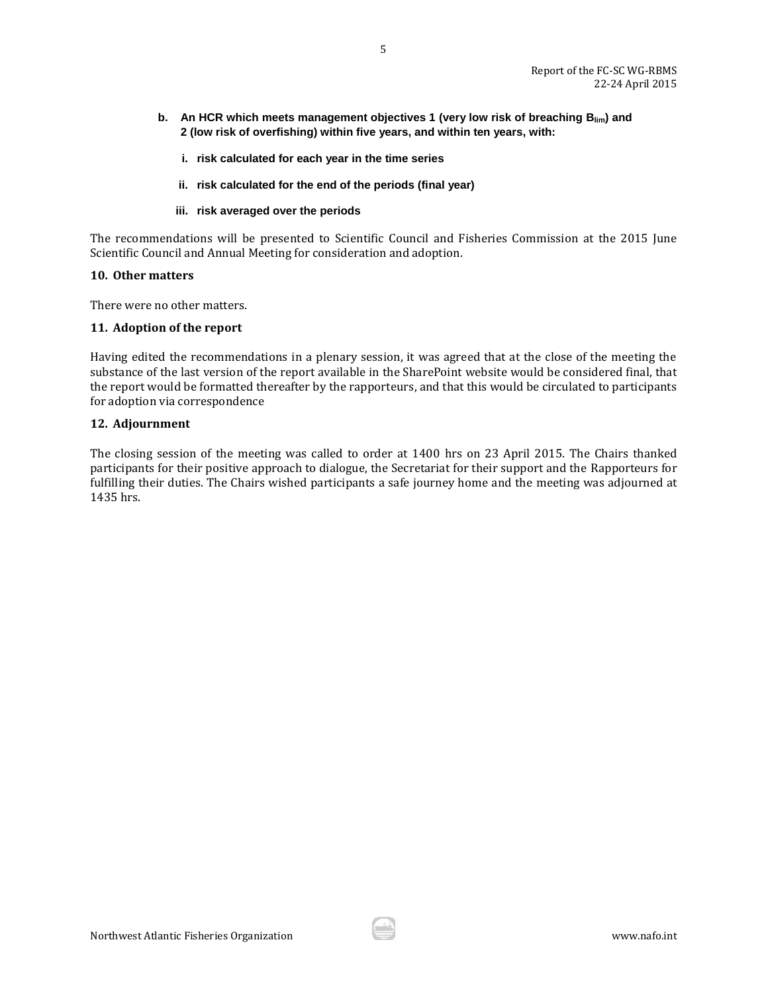**b. An HCR which meets management objectives 1 (very low risk of breaching Blim) and 2 (low risk of overfishing) within five years, and within ten years, with:**

5

- **i. risk calculated for each year in the time series**
- **ii. risk calculated for the end of the periods (final year)**
- **iii. risk averaged over the periods**

The recommendations will be presented to Scientific Council and Fisheries Commission at the 2015 June Scientific Council and Annual Meeting for consideration and adoption.

#### <span id="page-5-0"></span>**10. Other matters**

There were no other matters.

#### <span id="page-5-1"></span>**11. Adoption of the report**

Having edited the recommendations in a plenary session, it was agreed that at the close of the meeting the substance of the last version of the report available in the SharePoint website would be considered final, that the report would be formatted thereafter by the rapporteurs, and that this would be circulated to participants for adoption via correspondence

#### <span id="page-5-2"></span>**12. Adjournment**

The closing session of the meeting was called to order at 1400 hrs on 23 April 2015. The Chairs thanked participants for their positive approach to dialogue, the Secretariat for their support and the Rapporteurs for fulfilling their duties. The Chairs wished participants a safe journey home and the meeting was adjourned at 1435 hrs.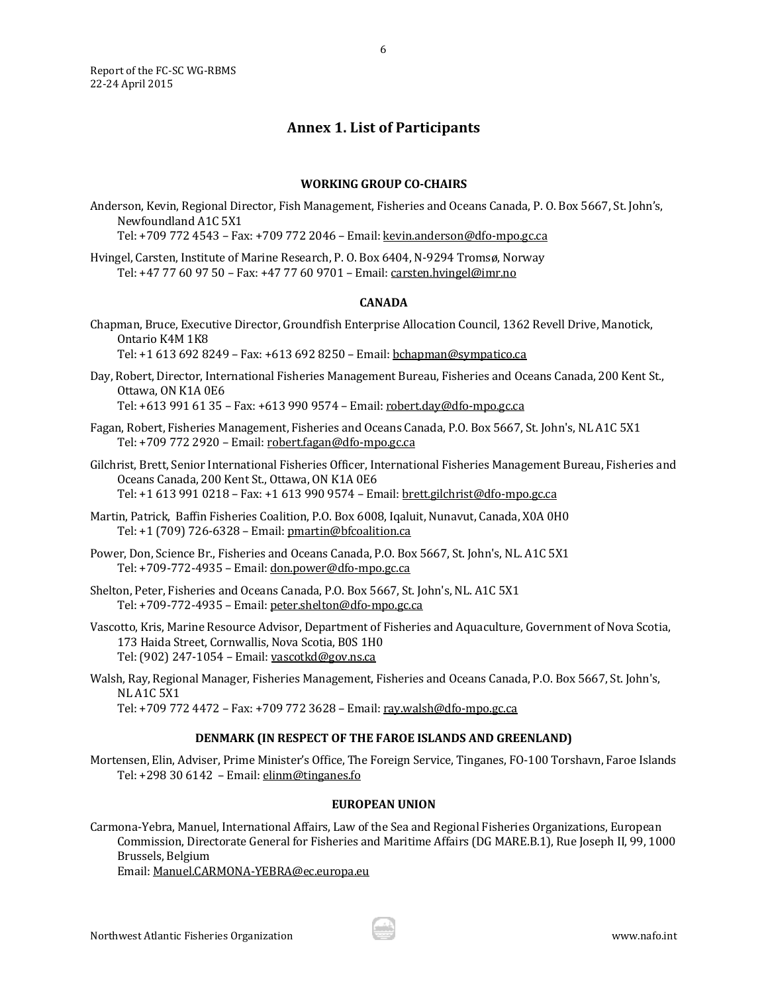<span id="page-6-0"></span>Report of the FC-SC WG-RBMS 22-24 April 2015

## **Annex 1. List of Participants**

6

#### **WORKING GROUP CO-CHAIRS**

Anderson, Kevin, Regional Director, Fish Management, Fisheries and Oceans Canada, P. O. Box 5667, St. John's, Newfoundland A1C 5X1

Tel: +709 772 4543 – Fax: +709 772 2046 – Email[: kevin.anderson@dfo-mpo.gc.ca](mailto:kevin.anderson@dfo-mpo.gc.ca)

Hvingel, Carsten, Institute of Marine Research, P. O. Box 6404, N-9294 Tromsø, Norway Tel: +47 77 60 97 50 – Fax: +47 77 60 9701 – Email: [carsten.hvingel@imr.no](mailto:carsten.hvingel@imr.no)

#### **CANADA**

- Chapman, Bruce, Executive Director, Groundfish Enterprise Allocation Council, 1362 Revell Drive, Manotick, Ontario K4M 1K8 Tel: +1 613 692 8249 – Fax: +613 692 8250 – Email[: bchapman@sympatico.ca](mailto:bchapman@sympatico.ca)
- Day, Robert, Director, International Fisheries Management Bureau, Fisheries and Oceans Canada, 200 Kent St., Ottawa, ON K1A 0E6

Tel: +613 991 61 35 – Fax: +613 990 9574 – Email: [robert.day@dfo-mpo.gc.ca](mailto:robert.day@dfo-mpo.gc.ca)

- Fagan, Robert, Fisheries Management, Fisheries and Oceans Canada, P.O. Box 5667, St. John's, NL A1C 5X1 Tel: +709 772 2920 – Email[: robert.fagan@dfo-mpo.gc.ca](mailto:robert.fagan@dfo-mpo.gc.ca)
- Gilchrist, Brett, Senior International Fisheries Officer, International Fisheries Management Bureau, Fisheries and Oceans Canada, 200 Kent St., Ottawa, ON K1A 0E6 Tel: +1 613 991 0218 – Fax: +1 613 990 9574 – Email: [brett.gilchrist@dfo-mpo.gc.ca](mailto:brett.gilchrist@dfo-mpo.gc.ca)
- Martin, Patrick, Baffin Fisheries Coalition, P.O. Box 6008, Iqaluit, Nunavut, Canada, X0A 0H0 Tel: +1 (709) 726-6328 – Email[: pmartin@bfcoalition.ca](mailto:pmartin@bfcoalition.ca)
- Power, Don, Science Br., Fisheries and Oceans Canada, P.O. Box 5667, St. John's, NL. A1C 5X1 Tel: +709-772-4935 – Email[: don.power@dfo-mpo.gc.ca](mailto:don.power@dfo-mpo.gc.ca)
- Shelton, Peter, Fisheries and Oceans Canada, P.O. Box 5667, St. John's, NL. A1C 5X1 Tel: +709-772-4935 – Email[: peter.shelton@dfo-mpo.gc.ca](mailto:peter.shelton@dfo-mpo.gc.ca)
- Vascotto, Kris, Marine Resource Advisor, Department of Fisheries and Aquaculture, Government of Nova Scotia, 173 Haida Street, Cornwallis, Nova Scotia, B0S 1H0 Tel: (902) 247-1054 – Email[: vascotkd@gov.ns.ca](mailto:vascotkd@gov.ns.ca)
- Walsh, Ray, Regional Manager, Fisheries Management, Fisheries and Oceans Canada, P.O. Box 5667, St. John's, NL A1C 5X1

Tel: +709 772 4472 – Fax: +709 772 3628 – Email[: ray.walsh@dfo-mpo.gc.ca](mailto:ray.walsh@dfo-mpo.gc.ca)

#### **DENMARK (IN RESPECT OF THE FAROE ISLANDS AND GREENLAND)**

Mortensen, Elin, Adviser, Prime Minister's Office, The Foreign Service, Tinganes, FO-100 Torshavn, Faroe Islands Tel: +298 30 6142 – Email: [elinm@tinganes.fo](mailto:elinm@tinganes.fo)

#### **EUROPEAN UNION**

Carmona-Yebra, Manuel, International Affairs, Law of the Sea and Regional Fisheries Organizations, European Commission, Directorate General for Fisheries and Maritime Affairs (DG MARE.B.1), Rue Joseph II, 99, 1000 Brussels, Belgium Email[: Manuel.CARMONA-YEBRA@ec.europa.eu](mailto:Manuel.CARMONA-YEBRA@ec.europa.eu)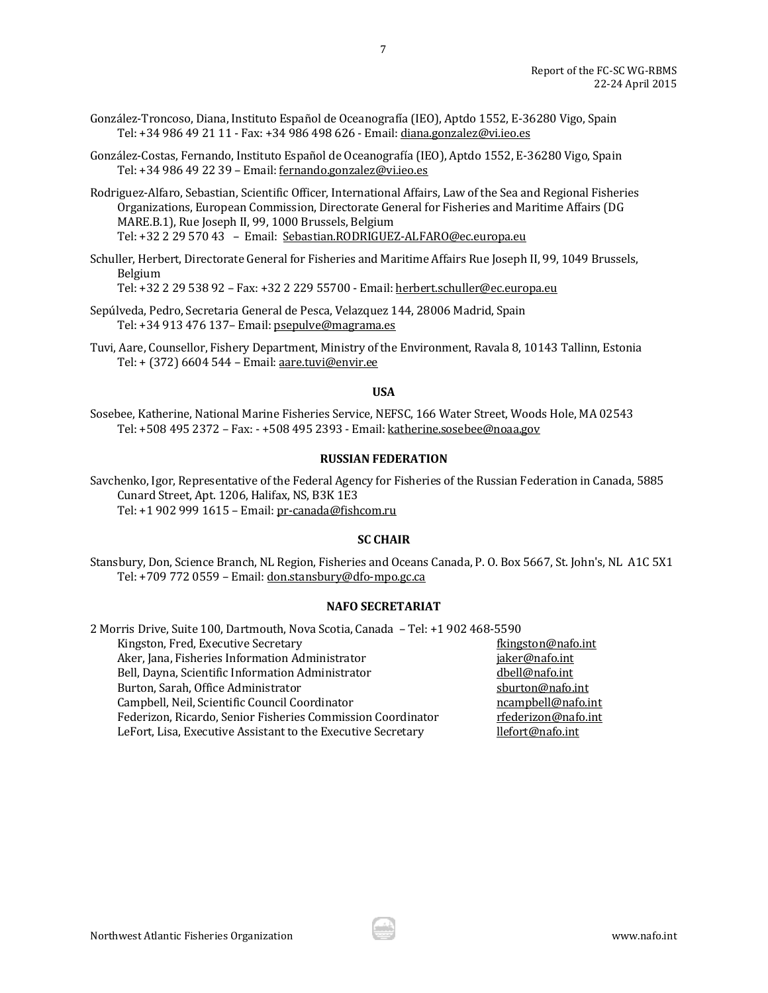- González-Troncoso, Diana, Instituto Español de Oceanografía (IEO), Aptdo 1552, E-36280 Vigo, Spain Tel: +34 986 49 21 11 - Fax: +34 986 498 626 - Email[: diana.gonzalez@vi.ieo.es](mailto:diana.gonzalez@vi.ieo.es)
- González-Costas, Fernando, Instituto Español de Oceanografía (IEO), Aptdo 1552, E-36280 Vigo, Spain Tel: +34 986 49 22 39 – Email: [fernando.gonzalez@vi.ieo.es](mailto:fernando.gonzalez@vi.ieo.es)
- Rodriguez-Alfaro, Sebastian, Scientific Officer, International Affairs, Law of the Sea and Regional Fisheries Organizations, European Commission, Directorate General for Fisheries and Maritime Affairs (DG MARE.B.1), Rue Joseph II, 99, 1000 Brussels, Belgium Tel: +32 2 29 570 43 – Email: [Sebastian.RODRIGUEZ-ALFARO@ec.europa.eu](mailto:Sebastian.RODRIGUEZ-ALFARO@ec.europa.eu)
- Schuller, Herbert, Directorate General for Fisheries and Maritime Affairs Rue Joseph II, 99, 1049 Brussels, Belgium

Tel: +32 2 29 538 92 – Fax: +32 2 229 55700 - Email: [herbert.schuller@ec.europa.eu](mailto:herbert.schuller@ec.europa.eu)

- Sepúlveda, Pedro, Secretaria General de Pesca, Velazquez 144, 28006 Madrid, Spain Tel: +34 913 476 137– Email[: psepulve@magrama.es](mailto:psepulve@magrama.es)
- Tuvi, Aare, Counsellor, Fishery Department, Ministry of the Environment, Ravala 8, 10143 Tallinn, Estonia Tel: + (372) 6604 544 – Email[: aare.tuvi@envir.ee](mailto:aare.tuvi@envir.ee)

#### **USA**

Sosebee, Katherine, National Marine Fisheries Service, NEFSC, 166 Water Street, Woods Hole, MA 02543 Tel: +508 495 2372 – Fax: - +508 495 2393 - Email[: katherine.sosebee@noaa.gov](mailto:katherine.sosebee@noaa.gov)

#### **RUSSIAN FEDERATION**

Savchenko, Igor, Representative of the Federal Agency for Fisheries of the Russian Federation in Canada, 5885 Cunard Street, Apt. 1206, Halifax, NS, B3K 1E3 Tel: +1 902 999 1615 – Email[: pr-canada@fishcom.ru](mailto:pr-canada@fishcom.ru)

#### **SC CHAIR**

Stansbury, Don, Science Branch, NL Region, Fisheries and Oceans Canada, P. O. Box 5667, St. John's, NL A1C 5X1 Tel: +709 772 0559 – Email[: don.stansbury@dfo-mpo.gc.ca](mailto:don.stansbury@dfo-mpo.gc.ca)

## **NAFO SECRETARIAT**

| 2 Morris Drive, Suite 100, Dartmouth, Nova Scotia, Canada - Tel: +1 902 468-5590 |                     |
|----------------------------------------------------------------------------------|---------------------|
| Kingston, Fred, Executive Secretary                                              | fkingston@nafo.int  |
| Aker, Jana, Fisheries Information Administrator                                  | jaker@nafo.int      |
| Bell, Dayna, Scientific Information Administrator                                | dbell@nafo.int      |
| Burton, Sarah, Office Administrator                                              | sburton@nafo.int    |
| Campbell, Neil, Scientific Council Coordinator                                   | ncampbell@nafo.int  |
| Federizon, Ricardo, Senior Fisheries Commission Coordinator                      | rfederizon@nafo.int |
| LeFort, Lisa, Executive Assistant to the Executive Secretary                     | llefort@nafo.int    |
|                                                                                  |                     |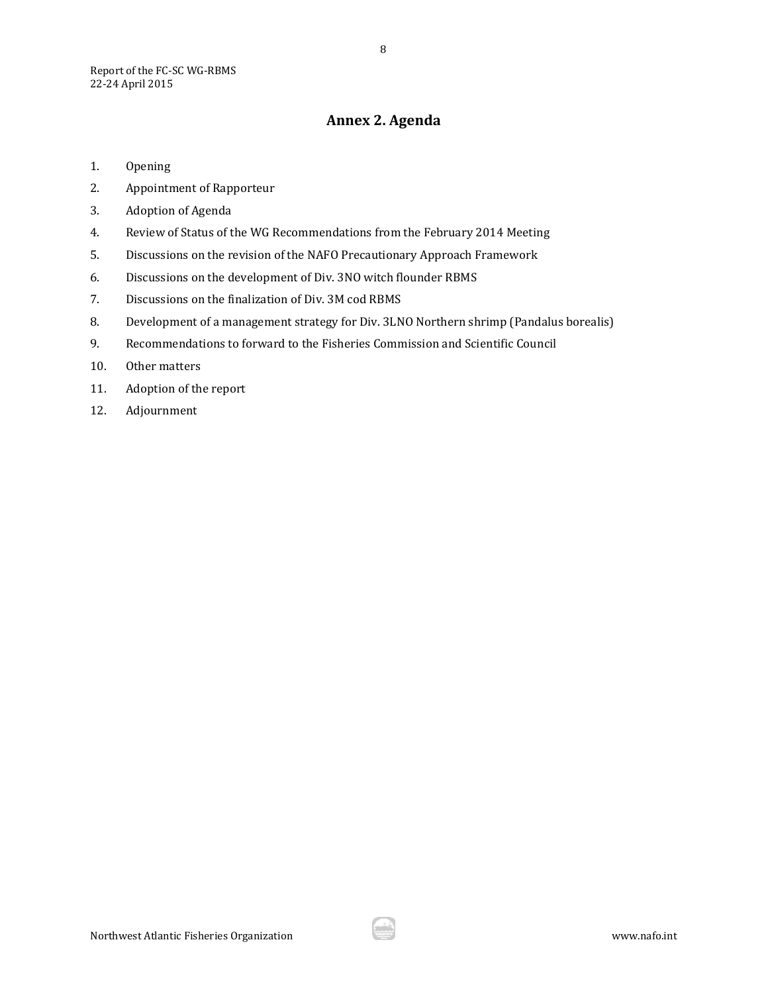## **Annex 2. Agenda**

- <span id="page-8-0"></span>1. Opening
- 2. Appointment of Rapporteur
- 3. Adoption of Agenda
- 4. Review of Status of the WG Recommendations from the February 2014 Meeting
- 5. Discussions on the revision of the NAFO Precautionary Approach Framework
- 6. Discussions on the development of Div. 3NO witch flounder RBMS
- 7. Discussions on the finalization of Div. 3M cod RBMS
- 8. Development of a management strategy for Div. 3LNO Northern shrimp (Pandalus borealis)
- 9. Recommendations to forward to the Fisheries Commission and Scientific Council
- 10. Other matters
- 11. Adoption of the report
- 12. Adjournment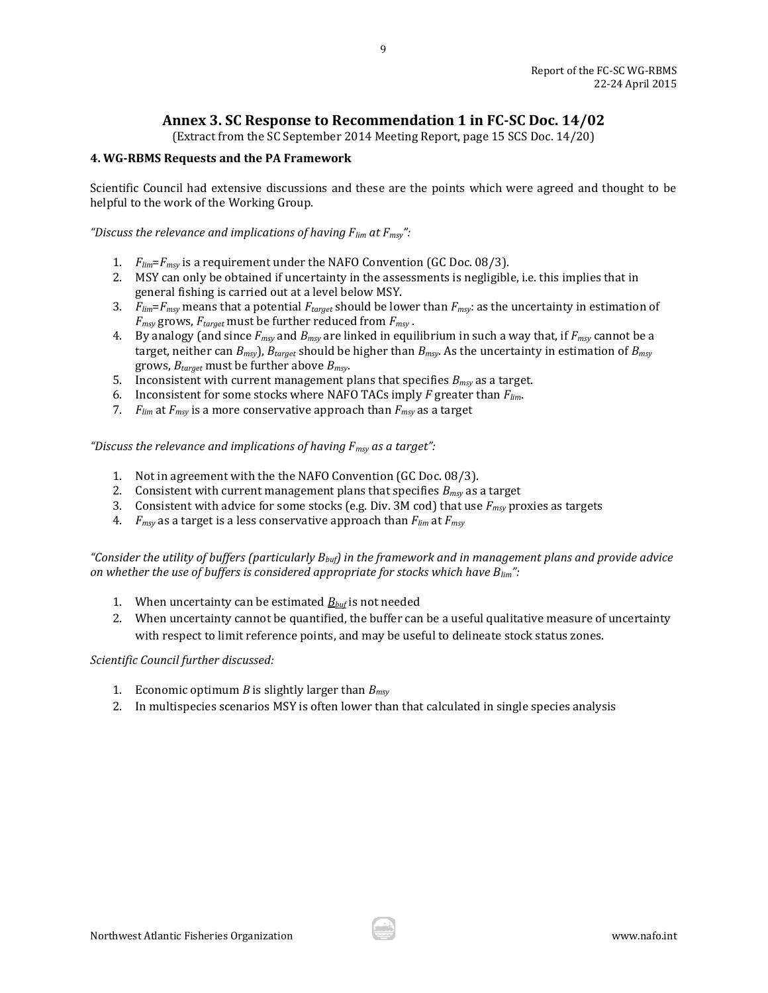**Annex 3. SC Response to Recommendation 1 in FC-SC Doc. 14/02** 

(Extract from the SC September 2014 Meeting Report, page 15 SCS Doc. 14/20)

## <span id="page-9-0"></span>**4. WG-RBMS Requests and the PA Framework**

Scientific Council had extensive discussions and these are the points which were agreed and thought to be helpful to the work of the Working Group.

*"Discuss the relevance and implications of having Flim at Fmsy":* 

- 1. *Flim*=*Fmsy* is a requirement under the NAFO Convention (GC Doc. 08/3).
- 2. MSY can only be obtained if uncertainty in the assessments is negligible, i.e. this implies that in general fishing is carried out at a level below MSY.
- 3. *Flim*=*Fmsy* means that a potential *Ftarget* should be lower than *Fmsy*: as the uncertainty in estimation of *Fmsy* grows, *Ftarget* must be further reduced from *Fmsy* .
- 4. By analogy (and since *Fmsy* and *Bmsy* are linked in equilibrium in such a way that, if *Fmsy* cannot be a target, neither can *Bmsy*), *Btarget* should be higher than *Bmsy*. As the uncertainty in estimation of *Bmsy* grows, *Btarget* must be further above *Bmsy*.
- 5. Inconsistent with current management plans that specifies *Bmsy* as a target.
- 6. Inconsistent for some stocks where NAFO TACs imply *F* greater than *Flim*.
- 7. *Flim* at *Fmsy* is a more conservative approach than *Fmsy* as a target

*"Discuss the relevance and implications of having Fmsy as a target":*

- 1. Not in agreement with the the NAFO Convention (GC Doc. 08/3).
- 2. Consistent with current management plans that specifies *Bmsy* as a target
- 3. Consistent with advice for some stocks (e.g. Div. 3M cod) that use *Fmsy* proxies as targets
- 4. *Fmsy* as a target is a less conservative approach than *Flim* at *Fmsy*

*"Consider the utility of buffers (particularly Bbuf) in the framework and in management plans and provide advice on whether the use of buffers is considered appropriate for stocks which have Blim":*

- 1. When uncertainty can be estimated  $B_{\text{buf}}$  is not needed
- 2. When uncertainty cannot be quantified, the buffer can be a useful qualitative measure of uncertainty with respect to limit reference points, and may be useful to delineate stock status zones.

*Scientific Council further discussed:* 

- 1. Economic optimum *B* is slightly larger than *Bmsy*
- 2. In multispecies scenarios MSY is often lower than that calculated in single species analysis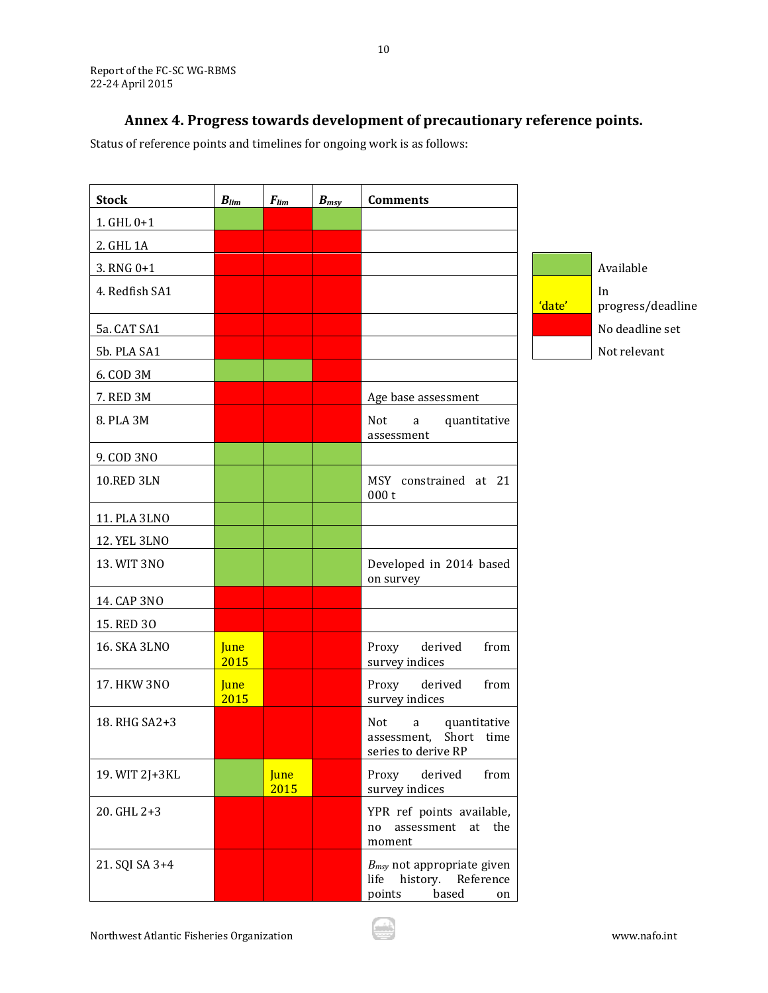# **Annex 4. Progress towards development of precautionary reference points.**

<span id="page-10-0"></span>Status of reference points and timelines for ongoing work is as follows:

| <b>Stock</b>      | $B_{lim}$           | $F_{lim}$           | $B_{msy}$ | <b>Comments</b>                                                                     |        |                         |
|-------------------|---------------------|---------------------|-----------|-------------------------------------------------------------------------------------|--------|-------------------------|
| $1.$ GHL $0+1$    |                     |                     |           |                                                                                     |        |                         |
| 2. GHL 1A         |                     |                     |           |                                                                                     |        |                         |
| $3. RNG 0+1$      |                     |                     |           |                                                                                     |        | Available               |
| 4. Redfish SA1    |                     |                     |           |                                                                                     | 'date' | In<br>progress/deadline |
| 5a. CAT SA1       |                     |                     |           |                                                                                     |        | No deadline set         |
| 5b. PLA SA1       |                     |                     |           |                                                                                     |        | Not relevant            |
| 6. COD 3M         |                     |                     |           |                                                                                     |        |                         |
| 7. RED 3M         |                     |                     |           | Age base assessment                                                                 |        |                         |
| 8. PLA 3M         |                     |                     |           | Not<br>quantitative<br>a<br>assessment                                              |        |                         |
| 9. COD 3NO        |                     |                     |           |                                                                                     |        |                         |
| <b>10.RED 3LN</b> |                     |                     |           | MSY constrained at 21<br>000t                                                       |        |                         |
| 11. PLA 3LNO      |                     |                     |           |                                                                                     |        |                         |
| 12. YEL 3LNO      |                     |                     |           |                                                                                     |        |                         |
| 13. WIT 3NO       |                     |                     |           | Developed in 2014 based<br>on survey                                                |        |                         |
| 14. CAP 3NO       |                     |                     |           |                                                                                     |        |                         |
| 15. RED 30        |                     |                     |           |                                                                                     |        |                         |
| 16. SKA 3LNO      | June<br>2015        |                     |           | from<br>Proxy<br>derived<br>survey indices                                          |        |                         |
| 17. HKW 3NO       | <b>June</b><br>2015 |                     |           | Proxy<br>derived<br>from<br>survey indices                                          |        |                         |
| 18. RHG SA2+3     |                     |                     |           | <b>Not</b><br>quantitative<br>a<br>Short time<br>assessment,<br>series to derive RP |        |                         |
| 19. WIT 2J+3KL    |                     | <b>June</b><br>2015 |           | Proxy<br>derived<br>from<br>survey indices                                          |        |                         |
| 20. GHL 2+3       |                     |                     |           | YPR ref points available,<br>assessment at the<br>no<br>moment                      |        |                         |
| 21. SQI SA 3+4    |                     |                     |           | $B_{msy}$ not appropriate given<br>life history. Reference<br>based<br>points<br>on |        |                         |

10